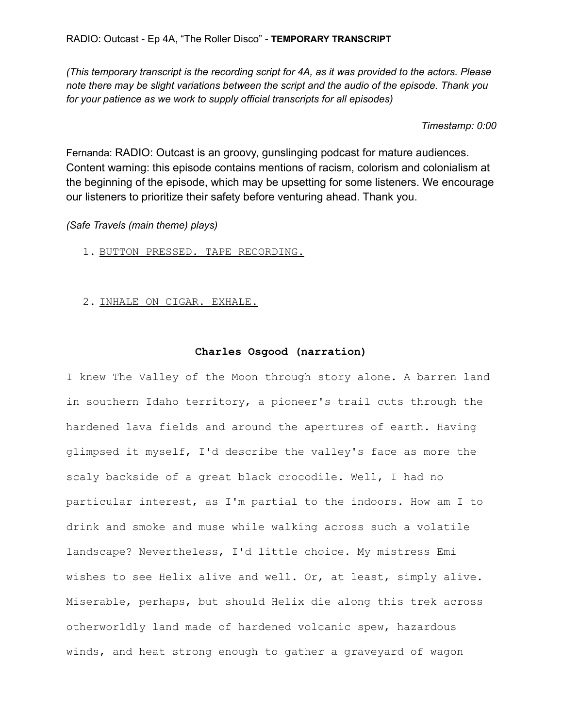*(This temporary transcript is the recording script for 4A, as it was provided to the actors. Please note there may be slight variations between the script and the audio of the episode. Thank you for your patience as we work to supply official transcripts for all episodes)*

# *Timestamp: 0:00*

Fernanda: RADIO: Outcast is an groovy, gunslinging podcast for mature audiences. Content warning: this episode contains mentions of racism, colorism and colonialism at the beginning of the episode, which may be upsetting for some listeners. We encourage our listeners to prioritize their safety before venturing ahead. Thank you.

*(Safe Travels (main theme) plays)*

- 1. BUTTON PRESSED. TAPE RECORDING.
- 2. INHALE ON CIGAR. EXHALE.

# **Charles Osgood (narration)**

I knew The Valley of the Moon through story alone. A barren land in southern Idaho territory, a pioneer's trail cuts through the hardened lava fields and around the apertures of earth. Having glimpsed it myself, I'd describe the valley's face as more the scaly backside of a great black crocodile. Well, I had no particular interest, as I'm partial to the indoors. How am I to drink and smoke and muse while walking across such a volatile landscape? Nevertheless, I'd little choice. My mistress Emi wishes to see Helix alive and well. Or, at least, simply alive. Miserable, perhaps, but should Helix die along this trek across otherworldly land made of hardened volcanic spew, hazardous winds, and heat strong enough to gather a graveyard of wagon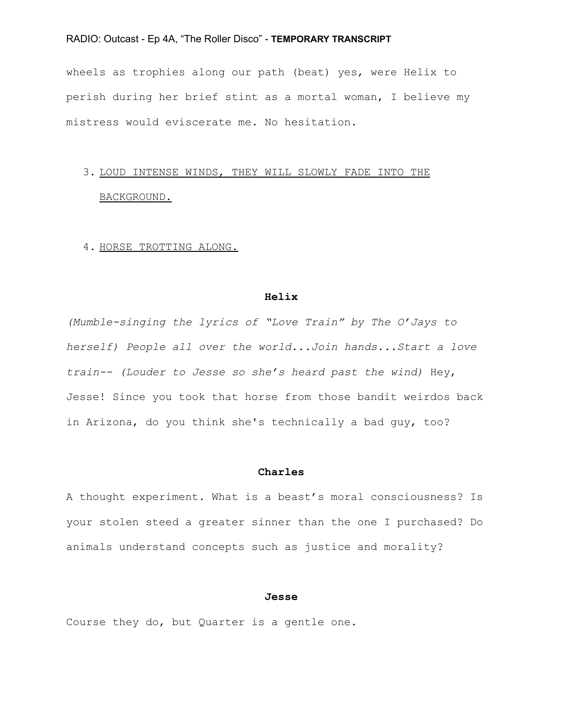wheels as trophies along our path (beat) yes, were Helix to perish during her brief stint as a mortal woman, I believe my mistress would eviscerate me. No hesitation.

# 3. LOUD INTENSE WINDS, THEY WILL SLOWLY FADE INTO THE BACKGROUND.

## 4. HORSE TROTTING ALONG.

#### **Helix**

*(Mumble-singing the lyrics of "Love Train" by The O'Jays to herself) People all over the world...Join hands...Start a love train-- (Louder to Jesse so she's heard past the wind)* Hey, Jesse! Since you took that horse from those bandit weirdos back in Arizona, do you think she's technically a bad guy, too?

## **Charles**

A thought experiment. What is a beast's moral consciousness? Is your stolen steed a greater sinner than the one I purchased? Do animals understand concepts such as justice and morality?

## **Jesse**

Course they do, but Quarter is a gentle one.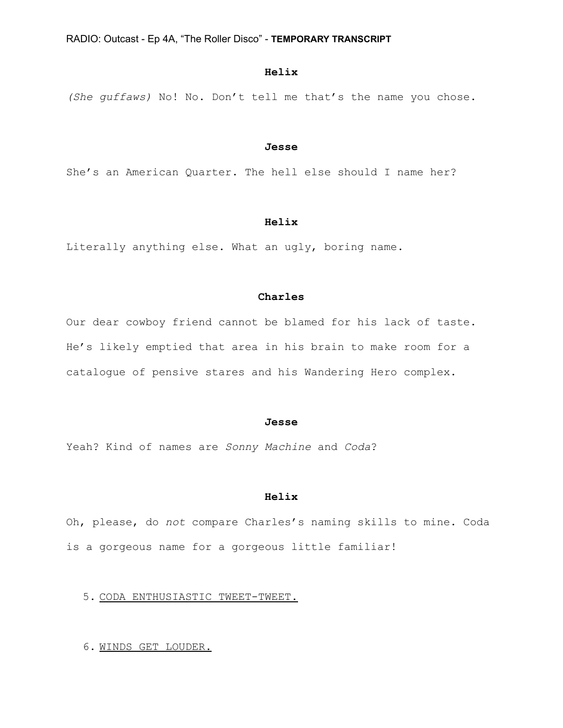# **Helix**

*(She guffaws)* No! No. Don't tell me that's the name you chose.

#### **Jesse**

She's an American Quarter. The hell else should I name her?

# **Helix**

Literally anything else. What an ugly, boring name.

## **Charles**

Our dear cowboy friend cannot be blamed for his lack of taste. He's likely emptied that area in his brain to make room for a catalogue of pensive stares and his Wandering Hero complex.

## **Jesse**

Yeah? Kind of names are *Sonny Machine* and *Coda*?

#### **Helix**

Oh, please, do *not* compare Charles's naming skills to mine. Coda is a gorgeous name for a gorgeous little familiar!

## 5. CODA ENTHUSIASTIC TWEET-TWEET.

6. WINDS GET LOUDER.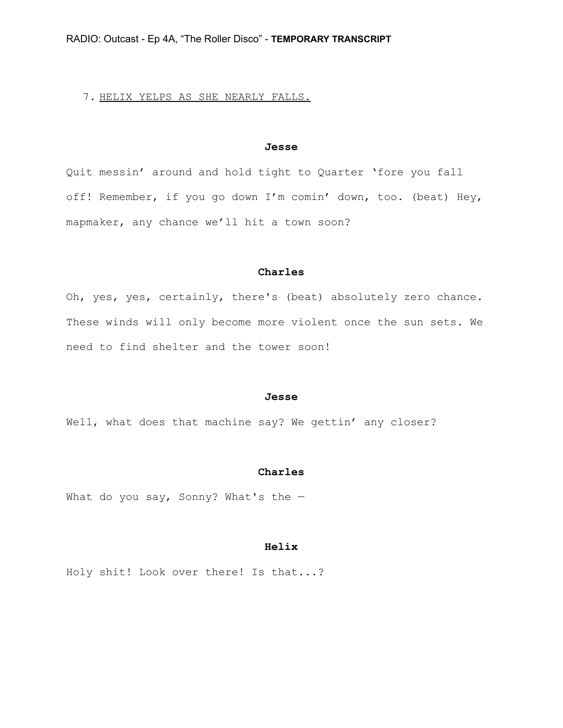## 7. HELIX YELPS AS SHE NEARLY FALLS.

## **Jesse**

Quit messin' around and hold tight to Quarter 'fore you fall off! Remember, if you go down I'm comin' down, too. (beat) Hey, mapmaker, any chance we'll hit a town soon?

#### **Charles**

Oh, yes, yes, certainly, there's (beat) absolutely zero chance. These winds will only become more violent once the sun sets. We need to find shelter and the tower soon!

#### **Jesse**

Well, what does that machine say? We gettin' any closer?

#### **Charles**

What do you say, Sonny? What's the  $-$ 

## **Helix**

Holy shit! Look over there! Is that...?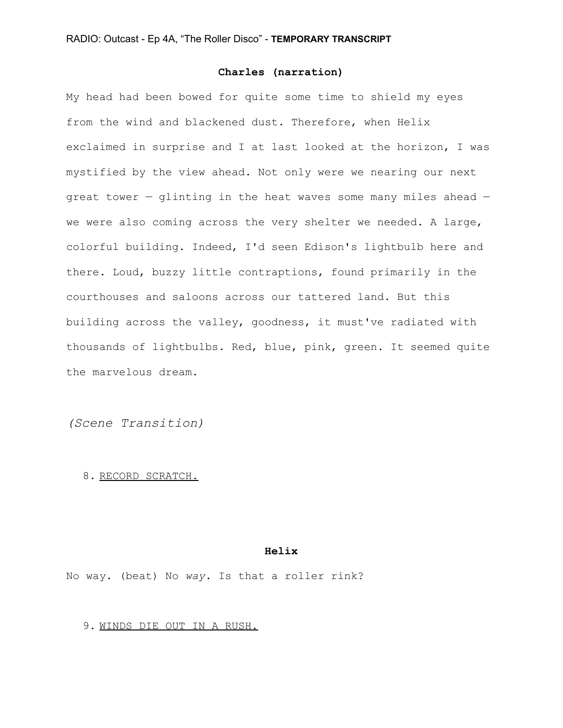# **Charles (narration)**

My head had been bowed for quite some time to shield my eyes from the wind and blackened dust. Therefore, when Helix exclaimed in surprise and I at last looked at the horizon, I was mystified by the view ahead. Not only were we nearing our next great tower — glinting in the heat waves some many miles ahead we were also coming across the very shelter we needed. A large, colorful building. Indeed, I'd seen Edison's lightbulb here and there. Loud, buzzy little contraptions, found primarily in the courthouses and saloons across our tattered land. But this building across the valley, goodness, it must've radiated with thousands of lightbulbs. Red, blue, pink, green. It seemed quite the marvelous dream.

*(Scene Transition)*

## 8. RECORD SCRATCH.

## **Helix**

No way. (beat) No *way*. Is that a roller rink?

#### 9. WINDS DIE OUT IN A RUSH.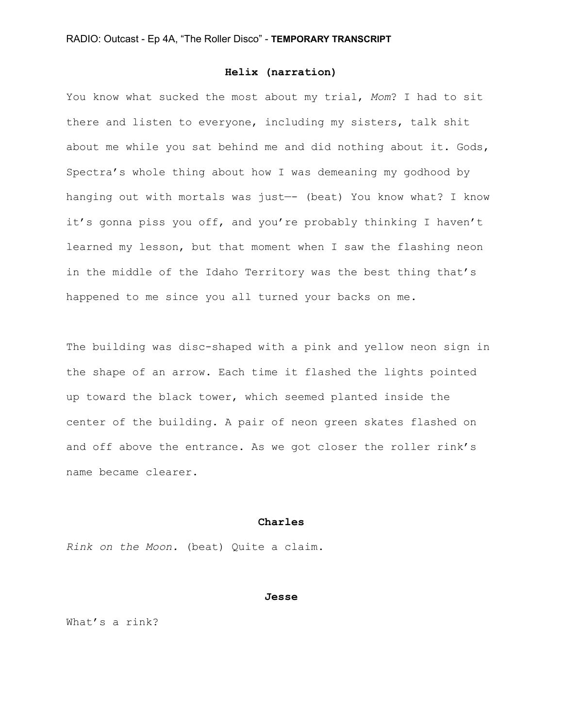## **Helix (narration)**

You know what sucked the most about my trial, *Mom*? I had to sit there and listen to everyone, including my sisters, talk shit about me while you sat behind me and did nothing about it. Gods, Spectra's whole thing about how I was demeaning my godhood by hanging out with mortals was just—- (beat) You know what? I know it's gonna piss you off, and you're probably thinking I haven't learned my lesson, but that moment when I saw the flashing neon in the middle of the Idaho Territory was the best thing that's happened to me since you all turned your backs on me.

The building was disc-shaped with a pink and yellow neon sign in the shape of an arrow. Each time it flashed the lights pointed up toward the black tower, which seemed planted inside the center of the building. A pair of neon green skates flashed on and off above the entrance. As we got closer the roller rink's name became clearer.

## **Charles**

*Rink on the Moon.* (beat) Quite a claim.

## **Jesse**

What's a rink?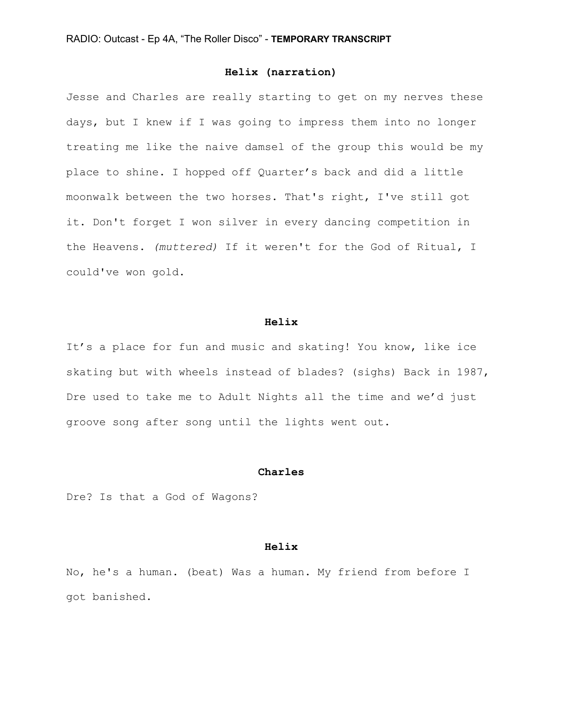## **Helix (narration)**

Jesse and Charles are really starting to get on my nerves these days, but I knew if I was going to impress them into no longer treating me like the naive damsel of the group this would be my place to shine. I hopped off Quarter's back and did a little moonwalk between the two horses. That's right, I've still got it. Don't forget I won silver in every dancing competition in the Heavens. *(muttered)* If it weren't for the God of Ritual, I could've won gold.

#### **Helix**

It's a place for fun and music and skating! You know, like ice skating but with wheels instead of blades? (sighs) Back in 1987, Dre used to take me to Adult Nights all the time and we'd just groove song after song until the lights went out.

#### **Charles**

Dre? Is that a God of Wagons?

## **Helix**

No, he's a human. (beat) Was a human. My friend from before I got banished.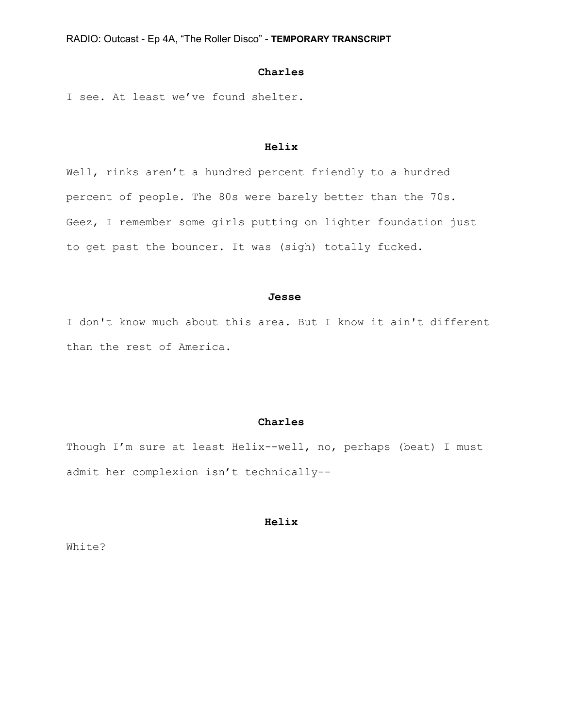## **Charles**

I see. At least we've found shelter.

## **Helix**

Well, rinks aren't a hundred percent friendly to a hundred percent of people. The 80s were barely better than the 70s. Geez, I remember some girls putting on lighter foundation just to get past the bouncer. It was (sigh) totally fucked.

## **Jesse**

I don't know much about this area. But I know it ain't different than the rest of America.

## **Charles**

Though I'm sure at least Helix--well, no, perhaps (beat) I must admit her complexion isn't technically--

## **Helix**

White?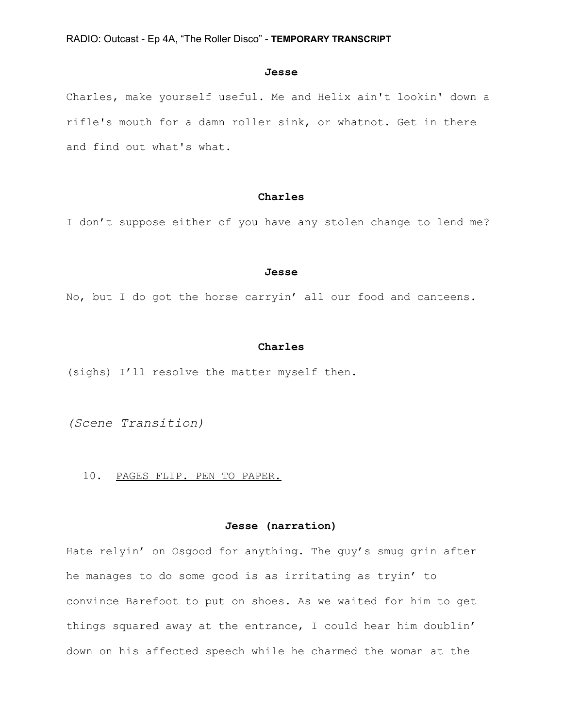#### **Jesse**

Charles, make yourself useful. Me and Helix ain't lookin' down a rifle's mouth for a damn roller sink, or whatnot. Get in there and find out what's what.

## **Charles**

I don't suppose either of you have any stolen change to lend me?

#### **Jesse**

No, but I do got the horse carryin' all our food and canteens.

#### **Charles**

(sighs) I'll resolve the matter myself then.

*(Scene Transition)*

#### 10. PAGES FLIP. PEN TO PAPER.

## **Jesse (narration)**

Hate relyin' on Osgood for anything. The guy's smug grin after he manages to do some good is as irritating as tryin' to convince Barefoot to put on shoes. As we waited for him to get things squared away at the entrance, I could hear him doublin' down on his affected speech while he charmed the woman at the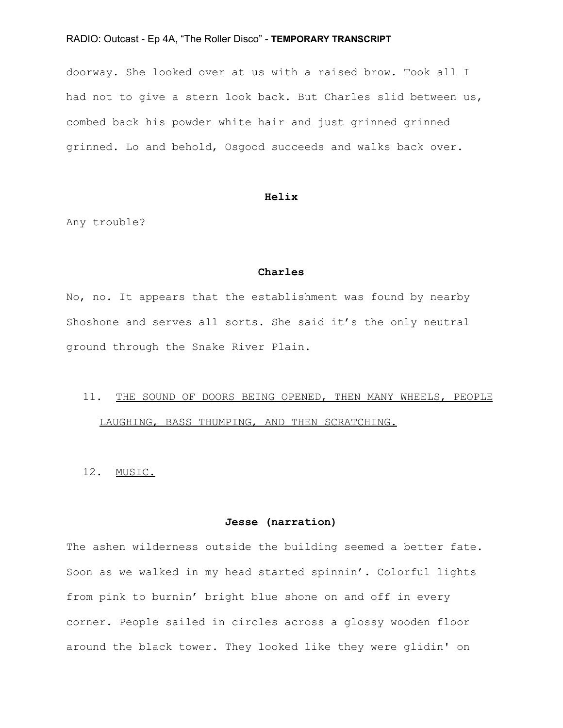doorway. She looked over at us with a raised brow. Took all I had not to give a stern look back. But Charles slid between us, combed back his powder white hair and just grinned grinned grinned. Lo and behold, Osgood succeeds and walks back over.

## **Helix**

Any trouble?

## **Charles**

No, no. It appears that the establishment was found by nearby Shoshone and serves all sorts. She said it's the only neutral ground through the Snake River Plain.

# 11. THE SOUND OF DOORS BEING OPENED, THEN MANY WHEELS, PEOPLE LAUGHING, BASS THUMPING, AND THEN SCRATCHING.

12. MUSIC.

## **Jesse (narration)**

The ashen wilderness outside the building seemed a better fate. Soon as we walked in my head started spinnin'. Colorful lights from pink to burnin' bright blue shone on and off in every corner. People sailed in circles across a glossy wooden floor around the black tower. They looked like they were glidin' on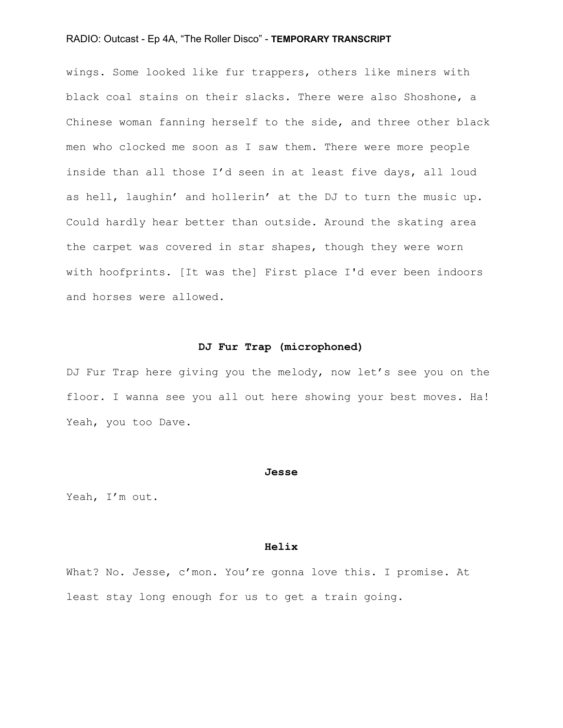wings. Some looked like fur trappers, others like miners with black coal stains on their slacks. There were also Shoshone, a Chinese woman fanning herself to the side, and three other black men who clocked me soon as I saw them. There were more people inside than all those I'd seen in at least five days, all loud as hell, laughin' and hollerin' at the DJ to turn the music up. Could hardly hear better than outside. Around the skating area the carpet was covered in star shapes, though they were worn with hoofprints. [It was the] First place I'd ever been indoors and horses were allowed.

## **DJ Fur Trap (microphoned)**

DJ Fur Trap here giving you the melody, now let's see you on the floor. I wanna see you all out here showing your best moves. Ha! Yeah, you too Dave.

#### **Jesse**

Yeah, I'm out.

## **Helix**

What? No. Jesse, c'mon. You're gonna love this. I promise. At least stay long enough for us to get a train going.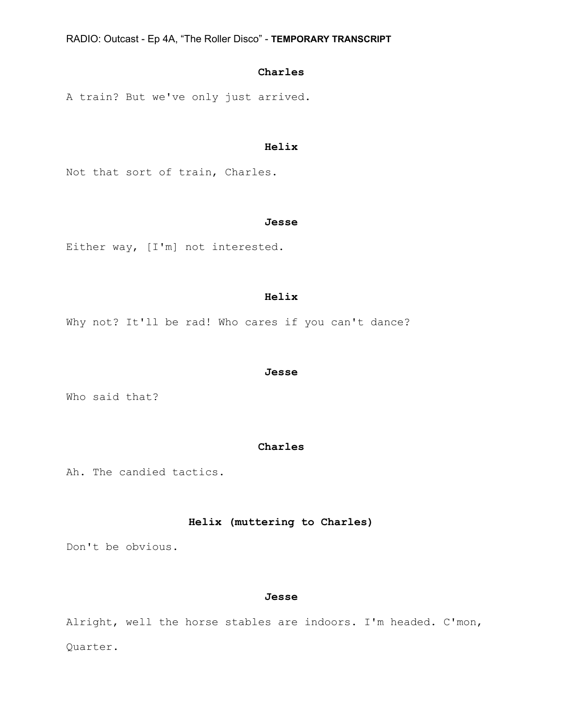# **Charles**

A train? But we've only just arrived.

# **Helix**

Not that sort of train, Charles.

## **Jesse**

Either way, [I'm] not interested.

### **Helix**

Why not? It'll be rad! Who cares if you can't dance?

#### **Jesse**

Who said that?

## **Charles**

Ah. The candied tactics.

# **Helix (muttering to Charles)**

Don't be obvious.

# **Jesse**

Alright, well the horse stables are indoors. I'm headed. C'mon, Quarter.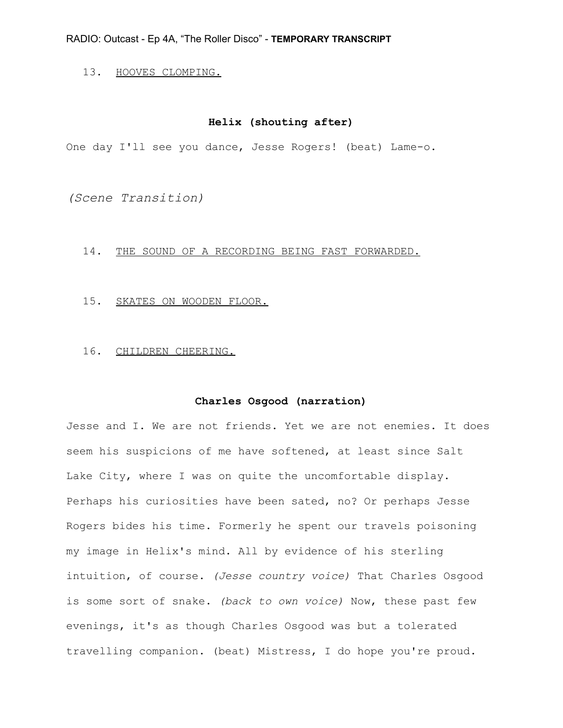# 13. HOOVES CLOMPING.

# **Helix (shouting after)**

One day I'll see you dance, Jesse Rogers! (beat) Lame-o.

*(Scene Transition)*

#### 14. THE SOUND OF A RECORDING BEING FAST FORWARDED.

15. SKATES ON WOODEN FLOOR.

## 16. CHILDREN CHEERING.

## **Charles Osgood (narration)**

Jesse and I. We are not friends. Yet we are not enemies. It does seem his suspicions of me have softened, at least since Salt Lake City, where I was on quite the uncomfortable display. Perhaps his curiosities have been sated, no? Or perhaps Jesse Rogers bides his time. Formerly he spent our travels poisoning my image in Helix's mind. All by evidence of his sterling intuition, of course. *(Jesse country voice)* That Charles Osgood is some sort of snake. *(back to own voice)* Now, these past few evenings, it's as though Charles Osgood was but a tolerated travelling companion. (beat) Mistress, I do hope you're proud.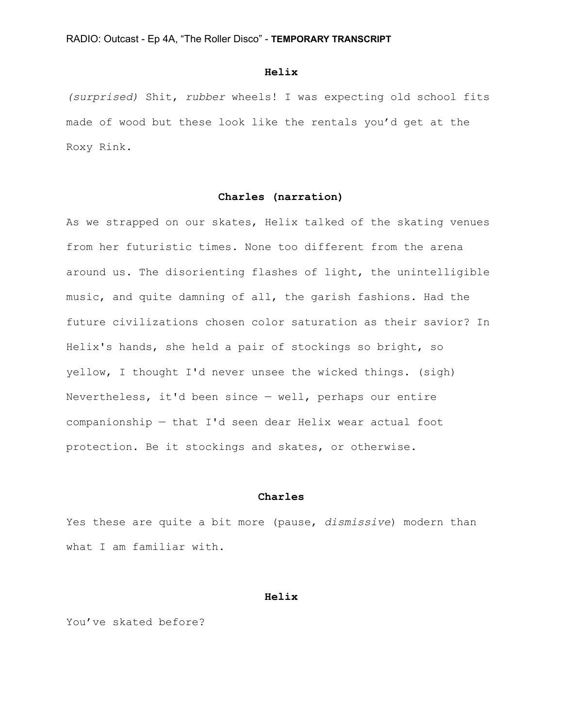### **Helix**

*(surprised)* Shit, *rubber* wheels! I was expecting old school fits made of wood but these look like the rentals you'd get at the Roxy Rink.

# **Charles (narration)**

As we strapped on our skates, Helix talked of the skating venues from her futuristic times. None too different from the arena around us. The disorienting flashes of light, the unintelligible music, and quite damning of all, the garish fashions. Had the future civilizations chosen color saturation as their savior? In Helix's hands, she held a pair of stockings so bright, so yellow, I thought I'd never unsee the wicked things. (sigh) Nevertheless, it'd been since — well, perhaps our entire companionship — that I'd seen dear Helix wear actual foot protection. Be it stockings and skates, or otherwise.

### **Charles**

Yes these are quite a bit more (pause, *dismissive*) modern than what I am familiar with.

#### **Helix**

You've skated before?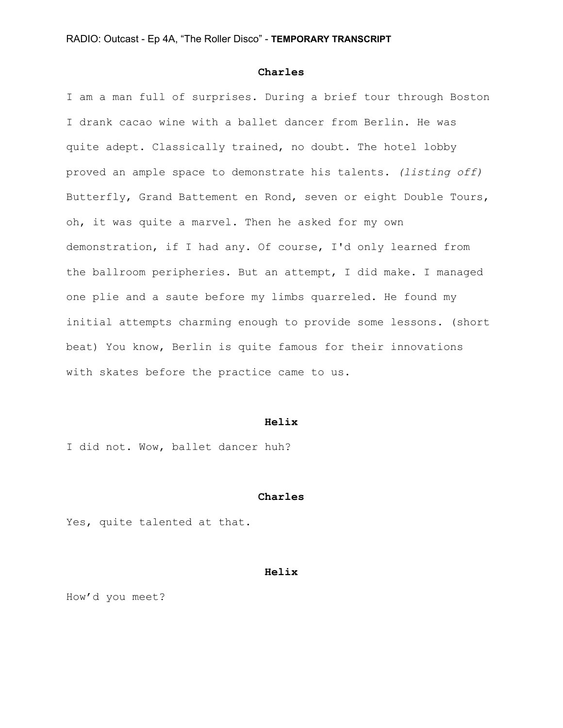#### **Charles**

I am a man full of surprises. During a brief tour through Boston I drank cacao wine with a ballet dancer from Berlin. He was quite adept. Classically trained, no doubt. The hotel lobby proved an ample space to demonstrate his talents. *(listing off)* Butterfly, Grand Battement en Rond, seven or eight Double Tours, oh, it was quite a marvel. Then he asked for my own demonstration, if I had any. Of course, I'd only learned from the ballroom peripheries. But an attempt, I did make. I managed one plie and a saute before my limbs quarreled. He found my initial attempts charming enough to provide some lessons. (short beat) You know, Berlin is quite famous for their innovations with skates before the practice came to us.

#### **Helix**

I did not. Wow, ballet dancer huh?

#### **Charles**

Yes, quite talented at that.

#### **Helix**

How'd you meet?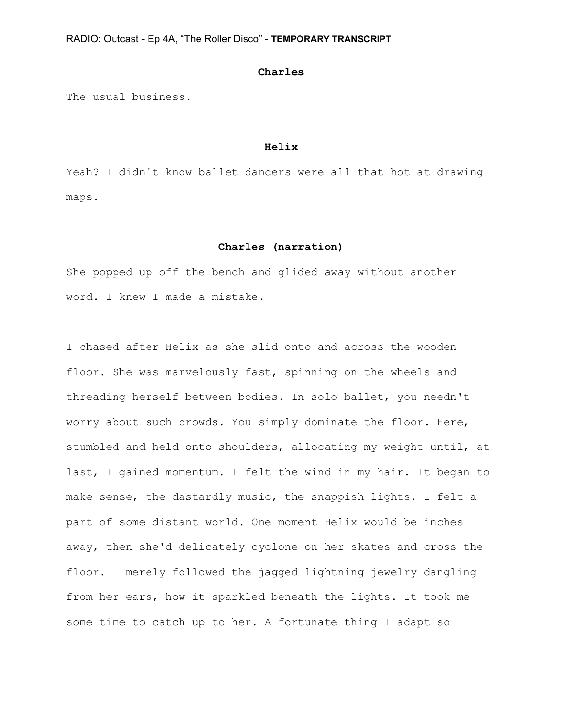#### **Charles**

The usual business.

#### **Helix**

Yeah? I didn't know ballet dancers were all that hot at drawing maps.

#### **Charles (narration)**

She popped up off the bench and glided away without another word. I knew I made a mistake.

I chased after Helix as she slid onto and across the wooden floor. She was marvelously fast, spinning on the wheels and threading herself between bodies. In solo ballet, you needn't worry about such crowds. You simply dominate the floor. Here, I stumbled and held onto shoulders, allocating my weight until, at last, I gained momentum. I felt the wind in my hair. It began to make sense, the dastardly music, the snappish lights. I felt a part of some distant world. One moment Helix would be inches away, then she'd delicately cyclone on her skates and cross the floor. I merely followed the jagged lightning jewelry dangling from her ears, how it sparkled beneath the lights. It took me some time to catch up to her. A fortunate thing I adapt so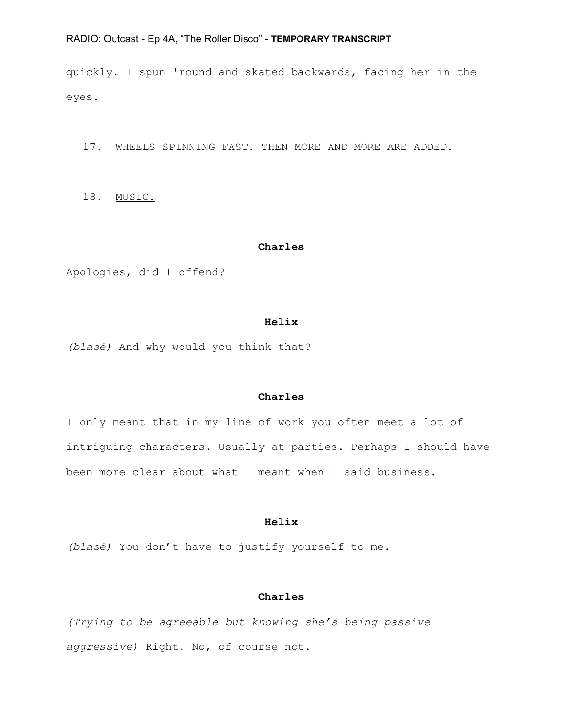quickly. I spun 'round and skated backwards, facing her in the eyes.

17. WHEELS SPINNING FAST. THEN MORE AND MORE ARE ADDED.

18. MUSIC.

#### **Charles**

Apologies, did I offend?

#### **Helix**

*(blasé)* And why would you think that?

# **Charles**

I only meant that in my line of work you often meet a lot of intriguing characters. Usually at parties. Perhaps I should have been more clear about what I meant when I said business.

## **Helix**

*(blasé)* You don't have to justify yourself to me.

# **Charles**

*(Trying to be agreeable but knowing she's being passive aggressive)* Right. No, of course not.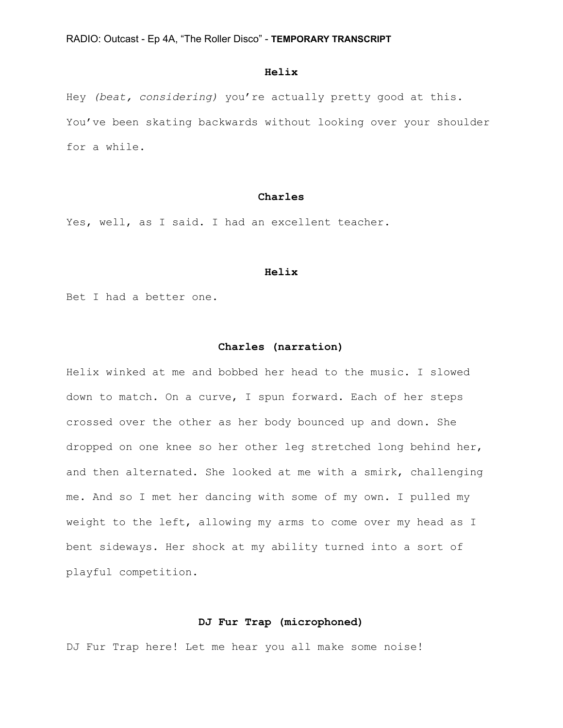# **Helix**

Hey *(beat, considering)* you're actually pretty good at this. You've been skating backwards without looking over your shoulder for a while.

## **Charles**

Yes, well, as I said. I had an excellent teacher.

#### **Helix**

Bet I had a better one.

## **Charles (narration)**

Helix winked at me and bobbed her head to the music. I slowed down to match. On a curve, I spun forward. Each of her steps crossed over the other as her body bounced up and down. She dropped on one knee so her other leg stretched long behind her, and then alternated. She looked at me with a smirk, challenging me. And so I met her dancing with some of my own. I pulled my weight to the left, allowing my arms to come over my head as I bent sideways. Her shock at my ability turned into a sort of playful competition.

## **DJ Fur Trap (microphoned)**

DJ Fur Trap here! Let me hear you all make some noise!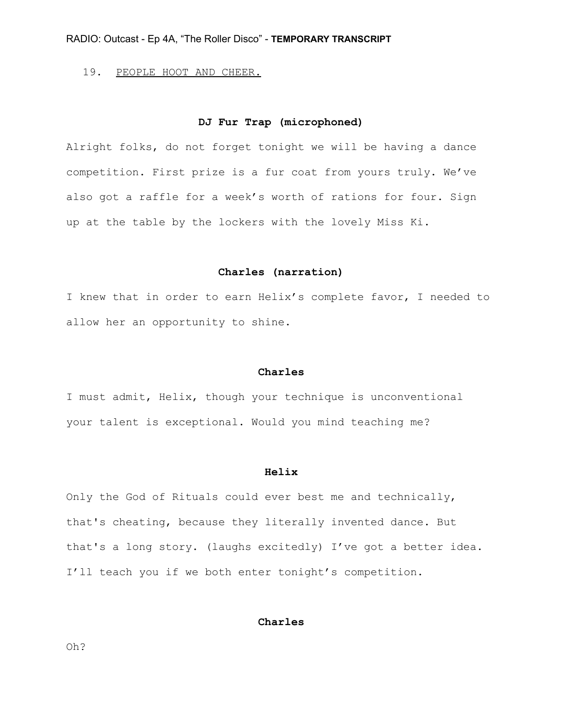19. PEOPLE HOOT AND CHEER.

## **DJ Fur Trap (microphoned)**

Alright folks, do not forget tonight we will be having a dance competition. First prize is a fur coat from yours truly. We've also got a raffle for a week's worth of rations for four. Sign up at the table by the lockers with the lovely Miss Ki.

## **Charles (narration)**

I knew that in order to earn Helix's complete favor, I needed to allow her an opportunity to shine.

### **Charles**

I must admit, Helix, though your technique is unconventional your talent is exceptional. Would you mind teaching me?

#### **Helix**

Only the God of Rituals could ever best me and technically, that's cheating, because they literally invented dance. But that's a long story. (laughs excitedly) I've got a better idea. I'll teach you if we both enter tonight's competition.

## **Charles**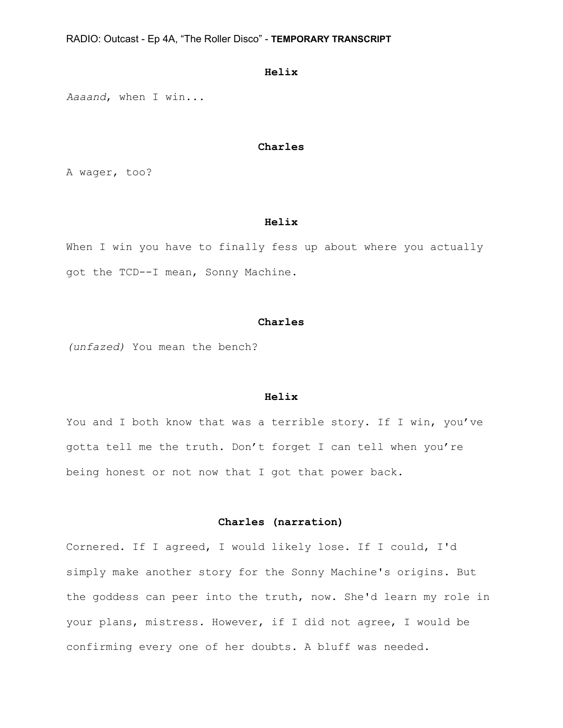## **Helix**

*Aaaand*, when I win...

# **Charles**

A wager, too?

## **Helix**

When I win you have to finally fess up about where you actually got the TCD--I mean, Sonny Machine.

#### **Charles**

*(unfazed)* You mean the bench?

#### **Helix**

You and I both know that was a terrible story. If I win, you've gotta tell me the truth. Don't forget I can tell when you're being honest or not now that I got that power back.

# **Charles (narration)**

Cornered. If I agreed, I would likely lose. If I could, I'd simply make another story for the Sonny Machine's origins. But the goddess can peer into the truth, now. She'd learn my role in your plans, mistress. However, if I did not agree, I would be confirming every one of her doubts. A bluff was needed.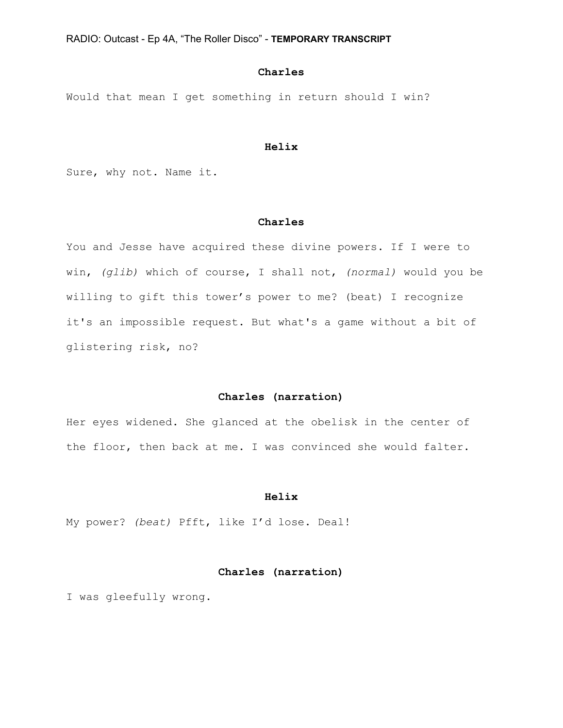# **Charles**

Would that mean I get something in return should I win?

## **Helix**

Sure, why not. Name it.

# **Charles**

You and Jesse have acquired these divine powers. If I were to win, *(glib)* which of course, I shall not, *(normal)* would you be willing to gift this tower's power to me? (beat) I recognize it's an impossible request. But what's a game without a bit of glistering risk, no?

# **Charles (narration)**

Her eyes widened. She glanced at the obelisk in the center of the floor, then back at me. I was convinced she would falter.

#### **Helix**

My power? *(beat)* Pfft, like I'd lose. Deal!

# **Charles (narration)**

I was gleefully wrong.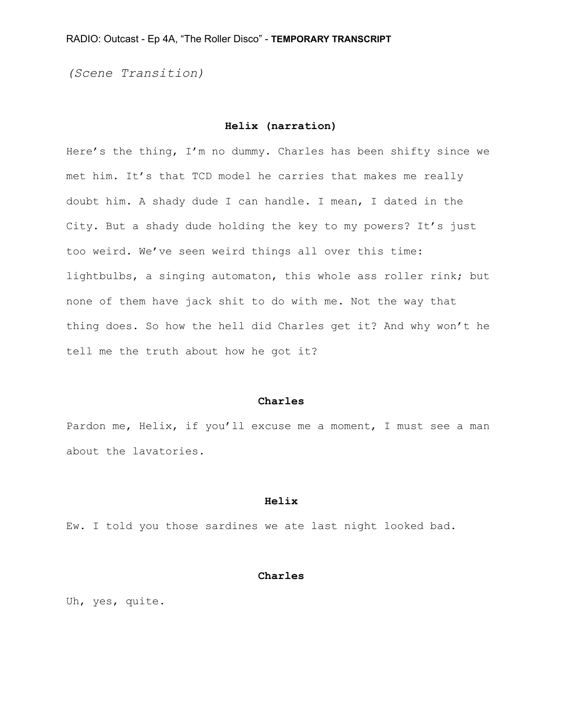*(Scene Transition)*

## **Helix (narration)**

Here's the thing, I'm no dummy. Charles has been shifty since we met him. It's that TCD model he carries that makes me really doubt him. A shady dude I can handle. I mean, I dated in the City. But a shady dude holding the key to my powers? It's just too weird. We've seen weird things all over this time: lightbulbs, a singing automaton, this whole ass roller rink; but none of them have jack shit to do with me. Not the way that thing does. So how the hell did Charles get it? And why won't he tell me the truth about how he got it?

## **Charles**

Pardon me, Helix, if you'll excuse me a moment, I must see a man about the lavatories.

## **Helix**

Ew. I told you those sardines we ate last night looked bad.

## **Charles**

Uh, yes, quite.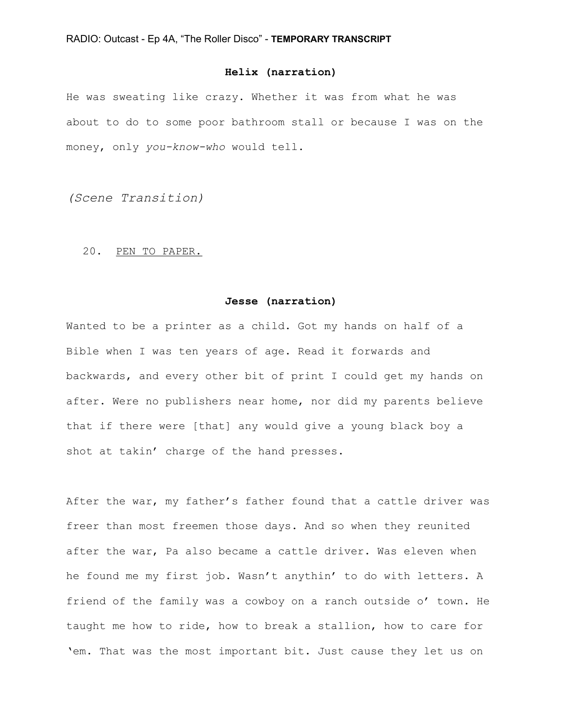# **Helix (narration)**

He was sweating like crazy. Whether it was from what he was about to do to some poor bathroom stall or because I was on the money, only *you-know-who* would tell.

*(Scene Transition)*

## 20. PEN TO PAPER.

## **Jesse (narration)**

Wanted to be a printer as a child. Got my hands on half of a Bible when I was ten years of age. Read it forwards and backwards, and every other bit of print I could get my hands on after. Were no publishers near home, nor did my parents believe that if there were [that] any would give a young black boy a shot at takin' charge of the hand presses.

After the war, my father's father found that a cattle driver was freer than most freemen those days. And so when they reunited after the war, Pa also became a cattle driver. Was eleven when he found me my first job. Wasn't anythin' to do with letters. A friend of the family was a cowboy on a ranch outside o' town. He taught me how to ride, how to break a stallion, how to care for 'em. That was the most important bit. Just cause they let us on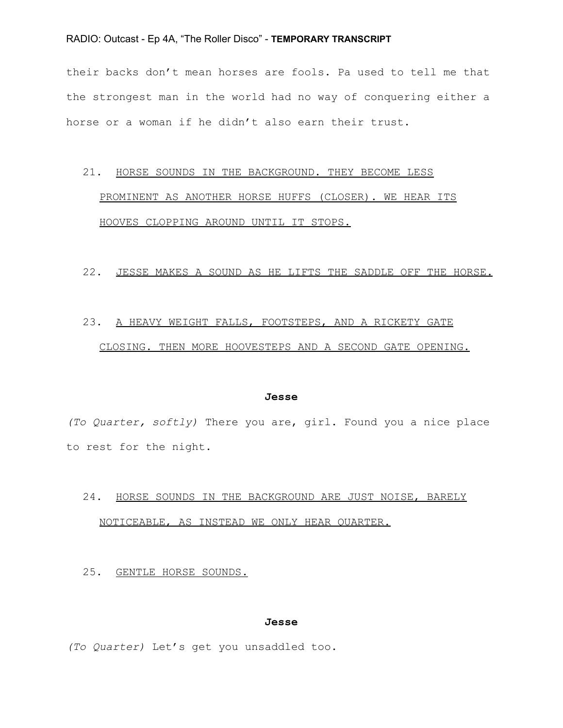their backs don't mean horses are fools. Pa used to tell me that the strongest man in the world had no way of conquering either a horse or a woman if he didn't also earn their trust.

# 21. HORSE SOUNDS IN THE BACKGROUND. THEY BECOME LESS PROMINENT AS ANOTHER HORSE HUFFS (CLOSER). WE HEAR ITS HOOVES CLOPPING AROUND UNTIL IT STOPS.

#### 22. JESSE MAKES A SOUND AS HE LIFTS THE SADDLE OFF THE HORSE.

# 23. A HEAVY WEIGHT FALLS, FOOTSTEPS, AND A RICKETY GATE CLOSING. THEN MORE HOOVESTEPS AND A SECOND GATE OPENING.

#### **Jesse**

*(To Quarter, softly)* There you are, girl. Found you a nice place to rest for the night.

# 24. HORSE SOUNDS IN THE BACKGROUND ARE JUST NOISE, BARELY NOTICEABLE, AS INSTEAD WE ONLY HEAR QUARTER.

# 25. GENTLE HORSE SOUNDS.

#### **Jesse**

*(To Quarter)* Let's get you unsaddled too.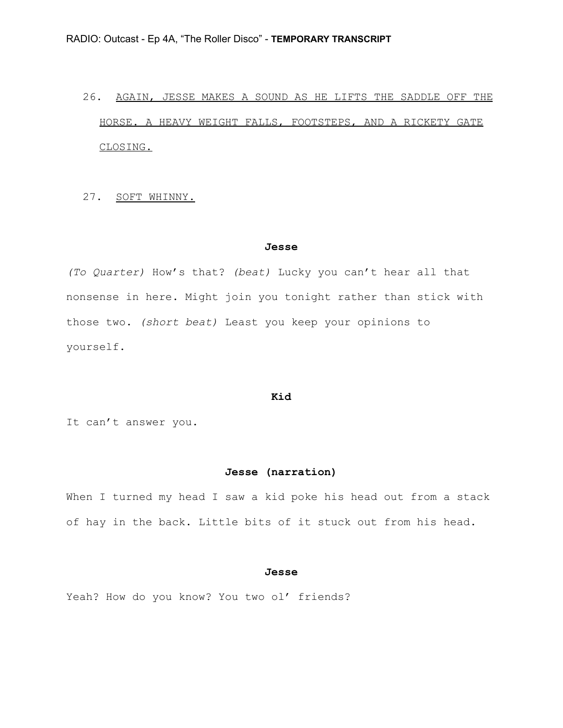# 26. AGAIN, JESSE MAKES A SOUND AS HE LIFTS THE SADDLE OFF THE HORSE. A HEAVY WEIGHT FALLS, FOOTSTEPS, AND A RICKETY GATE CLOSING.

27. SOFT WHINNY.

#### **Jesse**

*(To Quarter)* How's that? *(beat)* Lucky you can't hear all that nonsense in here. Might join you tonight rather than stick with those two. *(short beat)* Least you keep your opinions to yourself.

#### **Kid**

It can't answer you.

## **Jesse (narration)**

When I turned my head I saw a kid poke his head out from a stack of hay in the back. Little bits of it stuck out from his head.

## **Jesse**

Yeah? How do you know? You two ol' friends?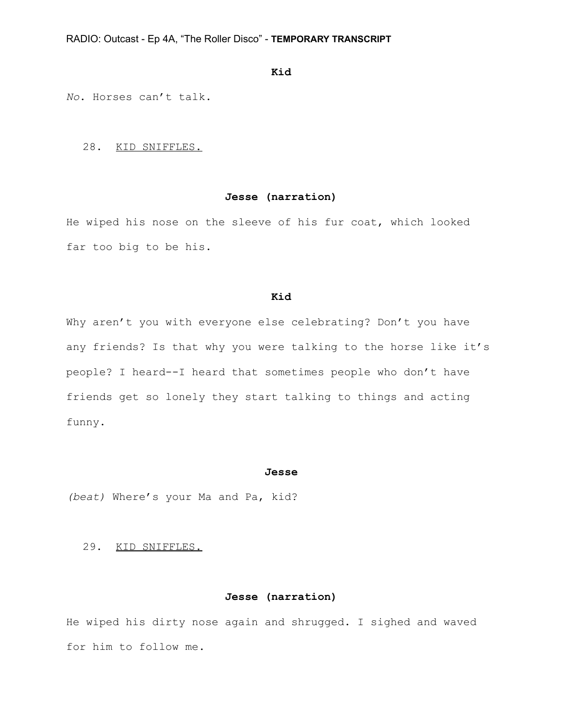## **Kid**

*No*. Horses can't talk.

28. KID SNIFFLES.

# **Jesse (narration)**

He wiped his nose on the sleeve of his fur coat, which looked far too big to be his.

## **Kid**

Why aren't you with everyone else celebrating? Don't you have any friends? Is that why you were talking to the horse like it's people? I heard--I heard that sometimes people who don't have friends get so lonely they start talking to things and acting funny.

#### **Jesse**

*(beat)* Where's your Ma and Pa, kid?

# 29. KID SNIFFLES.

## **Jesse (narration)**

He wiped his dirty nose again and shrugged. I sighed and waved for him to follow me.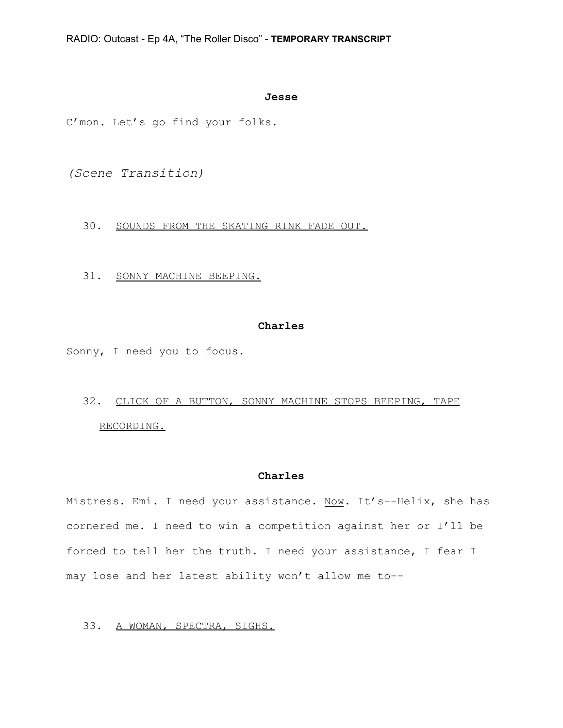#### **Jesse**

C'mon. Let's go find your folks.

*(Scene Transition)*

30. SOUNDS FROM THE SKATING RINK FADE OUT.

31. SONNY MACHINE BEEPING.

# **Charles**

Sonny, I need you to focus.

# 32. CLICK OF A BUTTON, SONNY MACHINE STOPS BEEPING, TAPE RECORDING.

# **Charles**

Mistress. Emi. I need your assistance. Now. It's--Helix, she has cornered me. I need to win a competition against her or I'll be forced to tell her the truth. I need your assistance, I fear I may lose and her latest ability won't allow me to--

# 33. A WOMAN, SPECTRA, SIGHS.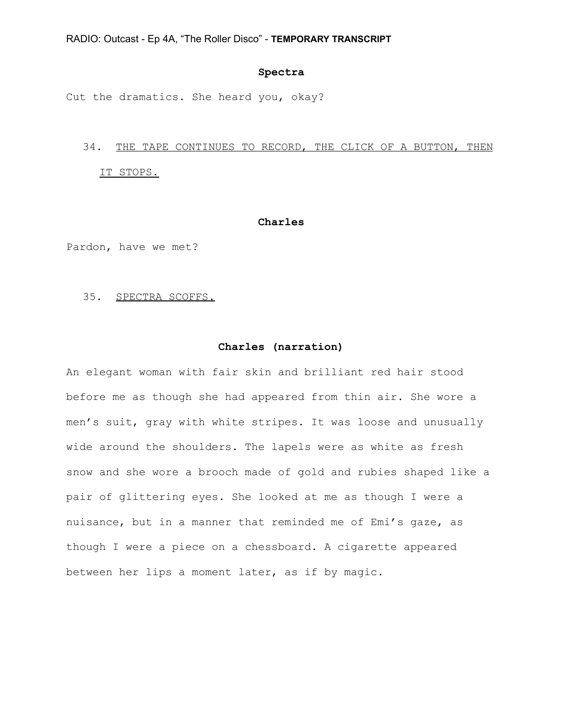## **Spectra**

Cut the dramatics. She heard you, okay?

# 34. THE TAPE CONTINUES TO RECORD, THE CLICK OF A BUTTON, THEN IT STOPS.

## **Charles**

Pardon, have we met?

### 35. SPECTRA SCOFFS.

## **Charles (narration)**

An elegant woman with fair skin and brilliant red hair stood before me as though she had appeared from thin air. She wore a men's suit, gray with white stripes. It was loose and unusually wide around the shoulders. The lapels were as white as fresh snow and she wore a brooch made of gold and rubies shaped like a pair of glittering eyes. She looked at me as though I were a nuisance, but in a manner that reminded me of Emi's gaze, as though I were a piece on a chessboard. A cigarette appeared between her lips a moment later, as if by magic.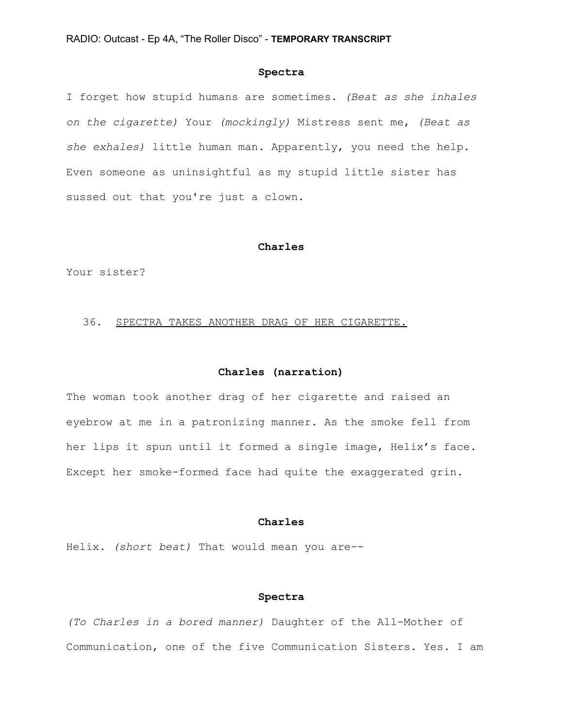## **Spectra**

I forget how stupid humans are sometimes. *(Beat as she inhales on the cigarette)* Your *(mockingly)* Mistress sent me, *(Beat as she exhales)* little human man. Apparently, you need the help. Even someone as uninsightful as my stupid little sister has sussed out that you're just a clown.

#### **Charles**

Your sister?

## 36. SPECTRA TAKES ANOTHER DRAG OF HER CIGARETTE.

## **Charles (narration)**

The woman took another drag of her cigarette and raised an eyebrow at me in a patronizing manner. As the smoke fell from her lips it spun until it formed a single image, Helix's face. Except her smoke-formed face had quite the exaggerated grin.

## **Charles**

Helix. *(short beat)* That would mean you are--

## **Spectra**

*(To Charles in a bored manner)* Daughter of the All-Mother of Communication, one of the five Communication Sisters. Yes. I am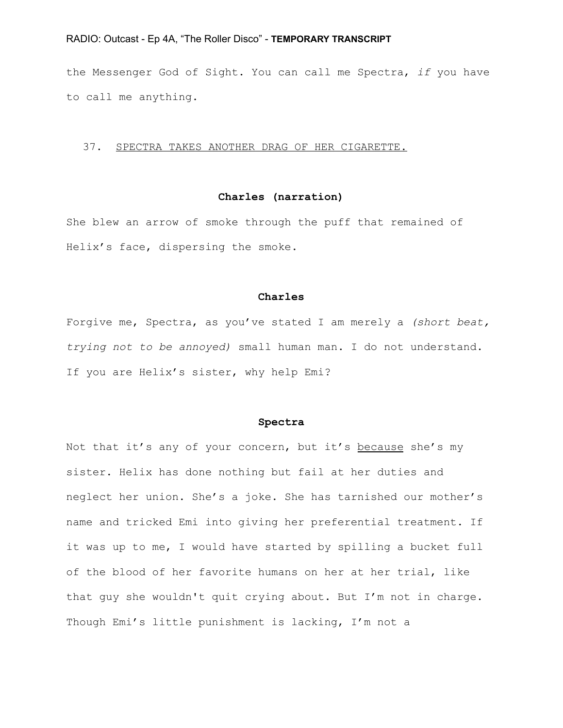the Messenger God of Sight. You can call me Spectra, *if* you have to call me anything.

## 37. SPECTRA TAKES ANOTHER DRAG OF HER CIGARETTE.

# **Charles (narration)**

She blew an arrow of smoke through the puff that remained of Helix's face, dispersing the smoke.

#### **Charles**

Forgive me, Spectra, as you've stated I am merely a *(short beat, trying not to be annoyed)* small human man. I do not understand. If you are Helix's sister, why help Emi?

## **Spectra**

Not that it's any of your concern, but it's because she's my sister. Helix has done nothing but fail at her duties and neglect her union. She's a joke. She has tarnished our mother's name and tricked Emi into giving her preferential treatment. If it was up to me, I would have started by spilling a bucket full of the blood of her favorite humans on her at her trial, like that guy she wouldn't quit crying about. But I'm not in charge. Though Emi's little punishment is lacking, I'm not a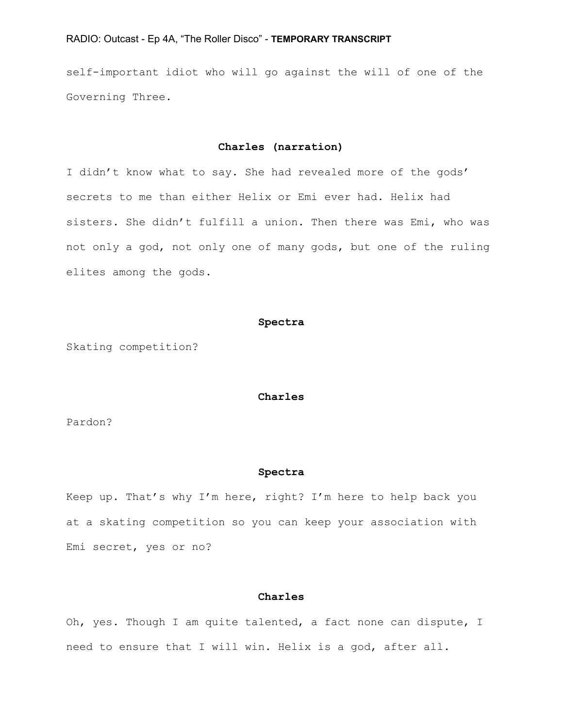self-important idiot who will go against the will of one of the Governing Three.

## **Charles (narration)**

I didn't know what to say. She had revealed more of the gods' secrets to me than either Helix or Emi ever had. Helix had sisters. She didn't fulfill a union. Then there was Emi, who was not only a god, not only one of many gods, but one of the ruling elites among the gods.

#### **Spectra**

Skating competition?

#### **Charles**

Pardon?

#### **Spectra**

Keep up. That's why I'm here, right? I'm here to help back you at a skating competition so you can keep your association with Emi secret, yes or no?

# **Charles**

Oh, yes. Though I am quite talented, a fact none can dispute, I need to ensure that I will win. Helix is a god, after all.